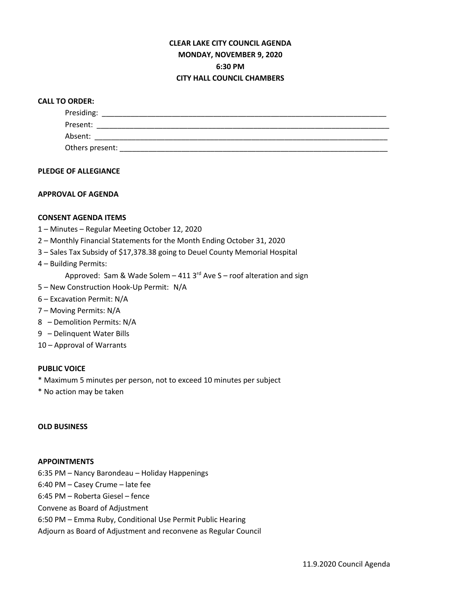## **CLEAR LAKE CITY COUNCIL AGENDA MONDAY, NOVEMBER 9, 2020 6:30 PM CITY HALL COUNCIL CHAMBERS**

## **CALL TO ORDER:**

| Presiding:      |  |  |  |
|-----------------|--|--|--|
| Present:        |  |  |  |
| Absent:         |  |  |  |
| Others present: |  |  |  |

### **PLEDGE OF ALLEGIANCE**

## **APPROVAL OF AGENDA**

## **CONSENT AGENDA ITEMS**

- 1 Minutes Regular Meeting October 12, 2020
- 2 Monthly Financial Statements for the Month Ending October 31, 2020
- 3 Sales Tax Subsidy of \$17,378.38 going to Deuel County Memorial Hospital
- 4 Building Permits:

Approved: Sam & Wade Solem  $-$  411 3<sup>rd</sup> Ave S – roof alteration and sign

- 5 New Construction Hook-Up Permit: N/A
- 6 Excavation Permit: N/A
- 7 Moving Permits: N/A
- 8 Demolition Permits: N/A
- 9 Delinquent Water Bills
- 10 Approval of Warrants

## **PUBLIC VOICE**

- \* Maximum 5 minutes per person, not to exceed 10 minutes per subject
- \* No action may be taken

### **OLD BUSINESS**

#### **APPOINTMENTS**

6:35 PM – Nancy Barondeau – Holiday Happenings

6:40 PM – Casey Crume – late fee

6:45 PM – Roberta Giesel – fence

Convene as Board of Adjustment

6:50 PM – Emma Ruby, Conditional Use Permit Public Hearing

Adjourn as Board of Adjustment and reconvene as Regular Council